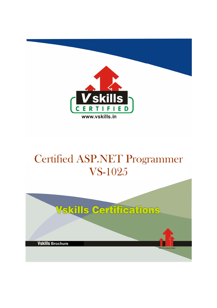

# Certified ASP.NET Programmer VS-1025

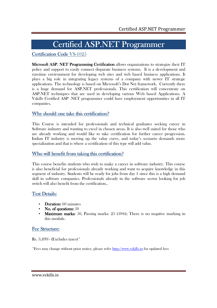## Certified ASP.NET Programmer

### Certification Code VS-1025

Microsoft ASP. NET Programming Certification allows organizations to strategize their IT policy and support to easily connect disparate business systems. It is a development and run-time environment for developing web sites and web based business applications. It plays a big role in integrating legacy systems of a company with newer IT strategic applications. The technology is based on Microsoft's Dot Net framework. Currently there is a huge demand for ASP.NET professionals. This certification will concentrate on ASP.NET techniques that are used in developing various Web based Applications. A Vskills Certified ASP .NET programmer could have employment opportunities in all IT companies.

### Why should one take this certification?

This Course is intended for professionals and technical graduates seeking career in Software industry and wanting to excel in chosen areas. It is also well suited for those who are already working and would like to take certification for further career progression. Indian IT industry is moving up the value curve, and today's scenario demands more specialization and that is where a certification of this type will add value.

#### Who will benefit from taking this certification?

This course benefits students who wish to make a career in software industry. This course is also beneficial for professionals already working and want to acquire knowledge in this segment of industry. Students will be ready for jobs from day 1 since this is a high demand skill in software companies. Professionals already in the software sector looking for job switch will also benefit from the certification..

#### Test Details:

- Duration:  $60$  minutes
- No. of questions:  $50$
- Maximum marks: 50, Passing marks:  $25$  (50%); There is no negative marking in this module.

#### Fee Structure:

Rs. 3,499/- (Excludes taxes)\*

\*Fees may change without prior notice, please refer http://www.vskills.in for updated fees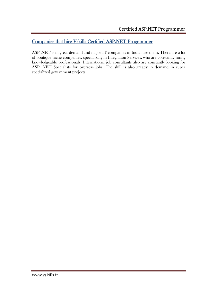### Companies that hire Vskills Certified ASP.NET Programmer

ASP .NET is in great demand and major IT companies in India hire them. There are a lot of boutique niche companies, specializing in Integration Services, who are constantly hiring knowledgeable professionals. International job consultants also are constantly looking for ASP .NET Specialists for overseas jobs. The skill is also greatly in demand in super specialized government projects.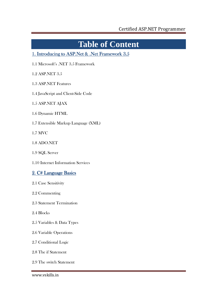# **Table of Content**

## 1. Introducing to ASP.Net & .Net Framework 3.5

1.1 Microsoft's .NET 3.5 Framework

1.2 ASP.NET 3.5

- 1.3 ASP.NET Features
- 1.4 JavaScript and Client-Side Code

1.5 ASP.NET AJAX

- 1.6 Dynamic HTML
- 1.7 Extensible Markup Language (XML)

1.7 MVC

- 1.8 ADO.NET
- 1.9 SQL Server
- 1.10 Internet Information Services

## 2. C# Language Basics

- 2.1 Case Sensitivity
- 2.2 Commenting
- 2.3 Statement Termination
- 2.4 Blocks
- 2.5 Variables & Data Types
- 2.6 Variable Operations
- 2.7 Conditional Logic
- 2.8 The if Statement
- 2.9 The switch Statement

www.vskills.in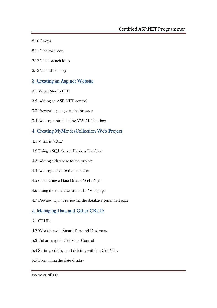- 2.10 Loops
- 2.11 The for Loop
- 2.12 The foreach loop
- 2.13 The while loop

### 3. Creating an Asp.net Website

- 3.1 Visual Studio IDE
- 3.2 Adding an ASP.NET control
- 3.3 Previewing a page in the browser
- 3.4 Adding controls to the VWDE Toolbox

## 4. Creating MyMoviesCollection Web Project

- 4.1 What is SQL?
- 4.2 Using a SQL Server Express Database
- 4.3 Adding a database to the project
- 4.4 Adding a table to the database
- 4.5 Generating a Data-Driven Web Page
- 4.6 Using the database to build a Web page
- 4.7 Previewing and reviewing the database-generated page

## 5. Managing Data and Other CRUD

#### 5.1 CRUD

- 5.2 Working with Smart Tags and Designers
- 5.3 Enhancing the GridView Control
- 5.4 Sorting, editing, and deleting with the GridView
- 5.5 Formatting the date display

#### www.vskills.in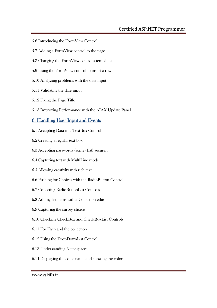## Certified ASP.NET Programmer

- 5.6 Introducing the FormView Control
- 5.7 Adding a FormView control to the page
- 5.8 Changing the FormView control's templates
- 5.9 Using the FormView control to insert a row
- 5.10 Analyzing problems with the date input
- 5.11 Validating the date input
- 5.12 Fixing the Page Title
- 5.13 Improving Performance with the AJAX Update Panel

#### 6. Handling User Input and Events

- 6.1 Accepting Data in a TextBox Control
- 6.2 Creating a regular text box
- 6.3 Accepting passwords (somewhat) securely
- 6.4 Capturing text with MultiLine mode
- 6.5 Allowing creativity with rich text
- 6.6 Pushing for Choices with the RadioButton Control
- 6.7 Collecting RadioButtonList Controls
- 6.8 Adding list items with a Collection editor
- 6.9 Capturing the survey choice
- 6.10 Checking CheckBox and CheckBoxList Controls
- 6.11 For Each and the collection
- 6.12 Using the DropDownList Control
- 6.13 Understanding Namespaces
- 6.14 Displaying the color name and showing the color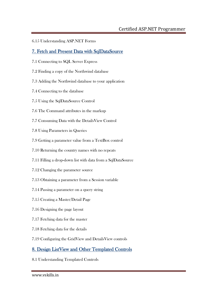6.15 Understanding ASP.NET Forms

### 7. Fetch and Present Data with SqlDataSource

- 7.1 Connecting to SQL Server Express
- 7.2 Finding a copy of the Northwind database
- 7.3 Adding the Northwind database to your application
- 7.4 Connecting to the database
- 7.5 Using the SqlDataSource Control
- 7.6 The Command attributes in the markup
- 7.7 Consuming Data with the DetailsView Control
- 7.8 Using Parameters in Queries
- 7.9 Getting a parameter value from a TextBox control
- 7.10 Returning the country names with no repeats
- 7.11 Filling a drop-down list with data from a SqlDataSource
- 7.12 Changing the parameter source
- 7.13 Obtaining a parameter from a Session variable
- 7.14 Passing a parameter on a query string
- 7.15 Creating a Master/Detail Page
- 7.16 Designing the page layout
- 7.17 Fetching data for the master
- 7.18 Fetching data for the details
- 7.19 Configuring the GridView and DetailsView controls

## 8. Design ListView and Other Templated Controls

8.1 Understanding Templated Controls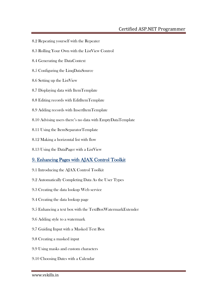### Certified ASP.NET Programmer

- 8.2 Repeating yourself with the Repeater
- 8.3 Rolling Your Own with the ListView Control
- 8.4 Generating the DataContext
- 8.5 Configuring the LinqDataSource
- 8.6 Setting up the ListView
- 8.7 Displaying data with ItemTemplate
- 8.8 Editing records with EditItemTemplate
- 8.9 Adding records with InsertItemTemplate
- 8.10 Advising users there's no data with EmptyDataTemplate
- 8.11 Using the ItemSeparatorTemplate
- 8.12 Making a horizontal list with flow
- 8.13 Using the DataPager with a ListView

### 9. Enhancing Pages with AJAX Control Toolkit

- 9.1 Introducing the AJAX Control Toolkit
- 9.2 Automatically Completing Data As the User Types
- 9.3 Creating the data lookup Web service
- 9.4 Creating the data lookup page
- 9.5 Enhancing a text box with the TextBoxWatermarkExtender
- 9.6 Adding style to a watermark
- 9.7 Guiding Input with a Masked Text Box
- 9.8 Creating a masked input
- 9.9 Using masks and custom characters
- 9.10 Choosing Dates with a Calendar

www.vskills.in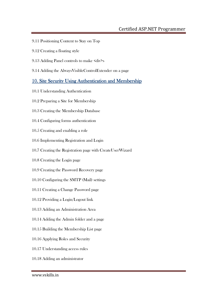- 9.11 Positioning Content to Stay on Top
- 9.12 Creating a floating style
- 9.13 Adding Panel controls to make <div>s
- 9.14 Adding the AlwaysVisibleControlExtender on a page

### 10. Site Security Using Authentication and Membership

- 10.1 Understanding Authentication
- 10.2 Preparing a Site for Membership
- 10.3 Creating the Membership Database
- 10.4 Configuring forms authentication
- 10.5 Creating and enabling a role
- 10.6 Implementing Registration and Login
- 10.7 Creating the Registration page with CreateUserWizard
- 10.8 Creating the Login page
- 10.9 Creating the Password Recovery page
- 10.10 Configuring the SMTP (Mail) settings
- 10.11 Creating a Change Password page
- 10.12 Providing a Login/Logout link
- 10.13 Adding an Administration Area
- 10.14 Adding the Admin folder and a page
- 10.15 Building the Membership List page
- 10.16 Applying Roles and Security
- 10.17 Understanding access rules
- 10.18 Adding an administrator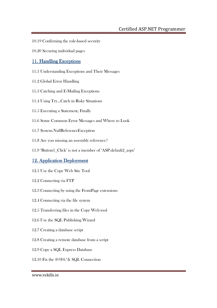- 10.19 Confirming the role-based security
- 10.20 Securing individual pages

### 11. Handling Exceptions

- 11.1 Understanding Exceptions and Their Messages
- 11.2 Global Error Handling
- 11.3 Catching and E-Mailing Exceptions
- 11.4 Using Try...Catch in Risky Situations
- 11.5 Executing a Statement, Finally
- 11.6 Some Common Error Messages and Where to Look
- 11.7 System.NullReferenceException
- 11.8 Are you missing an assembly reference?
- 11.9 'Button1\_Click' is not a member of 'ASP.default2\_aspx'

### 12. Application Deployment

- 12.1 Use the Copy Web Site Tool
- 12.2 Connecting via FTP
- 12.3 Connecting by using the FrontPage extensions
- 12.4 Connecting via the file system
- 12.5 Transferring files in the Copy Web tool
- 12.6 Use the SQL Publishing Wizard
- 12.7 Creating a database script
- 12.8 Creating a remote database from a script
- 12.9 Copy a SQL Express Database
- 12.10 Fix the @#\$%\*& SQL Connection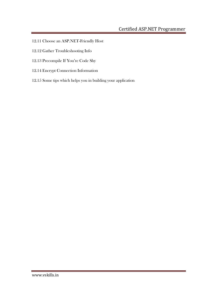- 12.11 Choose an ASP.NET-Friendly Host
- 12.12 Gather Troubleshooting Info
- 12.13 Precompile If You're Code Shy
- 12.14 Encrypt Connection Information
- 12.15 Some tips which helps you in building your application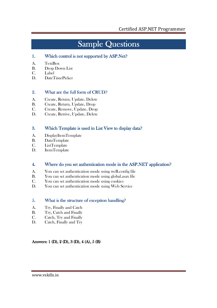## Sample Questions

#### 1. Which control is not supported by  $ASP.Net?$

- A. TextBox
- B. Drop Down List
- C. Label
- D. DateTimePicker

#### 2. What are the full form of CRUD?

- A. Create, Return, Update, Delete
- B. Create, Return, Update, Drop
- C. Create, Remove, Update, Drop
- D. Create, Retrive, Update, Delete

#### 3. Which Template is used in List View to display data?

- A. DisplayItemTemplate
- B. DataTemplate
- C. ListTemplate
- D. ItemTemplate

#### 4. Where do you set authentication mode in the ASP.NET application?

- A. You can set authentication mode using weB.config file
- B. You can set authentication mode using global.asax file
- C. You can set authentication mode using cookies
- D. You can set authentication mode using Web Service

#### 5. What is the structure of exception handling?

- A. Try, Finally and Catch
- B. Try, Catch and Finally
- C. Catch, Try and Finally
- D. Catch, Finally and Try

#### Answers:  $1$  (D),  $2$  (D),  $3$  (D),  $4$  (A),  $5$  (B)